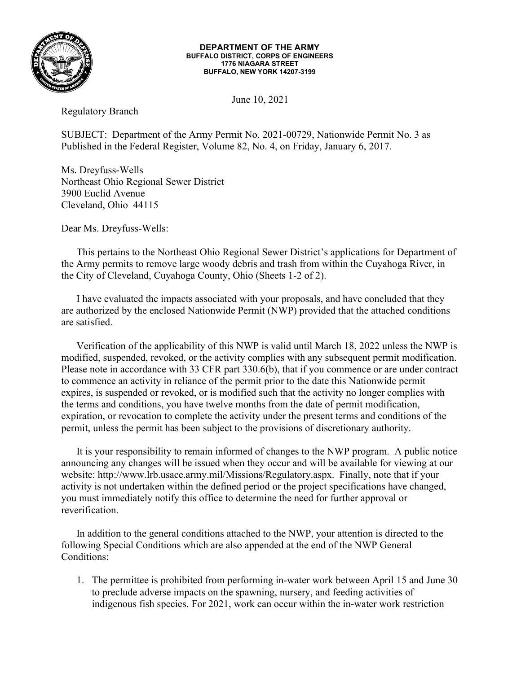

## DEPARTMENT OF THE ARMY BUFFALO DISTRICT, CORPS OF ENGINEERS 1776 NIAGARA STREET BUFFALO, NEW YORK 14207-3199

June 10, 2021

Regulatory Branch

SUBJECT: Department of the Army Permit No. 2021-00729, Nationwide Permit No. 3 as Published in the Federal Register, Volume 82, No. 4, on Friday, January 6, 2017.

Ms. Dreyfuss-Wells Northeast Ohio Regional Sewer District 3900 Euclid Avenue Cleveland, Ohio 44115

Dear Ms. Dreyfuss-Wells:

 This pertains to the Northeast Ohio Regional Sewer District's applications for Department of the Army permits to remove large woody debris and trash from within the Cuyahoga River, in the City of Cleveland, Cuyahoga County, Ohio (Sheets 1-2 of 2).

 I have evaluated the impacts associated with your proposals, and have concluded that they are authorized by the enclosed Nationwide Permit (NWP) provided that the attached conditions are satisfied.

 Verification of the applicability of this NWP is valid until March 18, 2022 unless the NWP is modified, suspended, revoked, or the activity complies with any subsequent permit modification. Please note in accordance with 33 CFR part 330.6(b), that if you commence or are under contract to commence an activity in reliance of the permit prior to the date this Nationwide permit expires, is suspended or revoked, or is modified such that the activity no longer complies with the terms and conditions, you have twelve months from the date of permit modification, expiration, or revocation to complete the activity under the present terms and conditions of the permit, unless the permit has been subject to the provisions of discretionary authority.

 It is your responsibility to remain informed of changes to the NWP program. A public notice announcing any changes will be issued when they occur and will be available for viewing at our website: http://www.lrb.usace.army.mil/Missions/Regulatory.aspx. Finally, note that if your activity is not undertaken within the defined period or the project specifications have changed, you must immediately notify this office to determine the need for further approval or reverification.

 In addition to the general conditions attached to the NWP, your attention is directed to the following Special Conditions which are also appended at the end of the NWP General Conditions:

1. The permittee is prohibited from performing in-water work between April 15 and June 30 to preclude adverse impacts on the spawning, nursery, and feeding activities of indigenous fish species. For 2021, work can occur within the in-water work restriction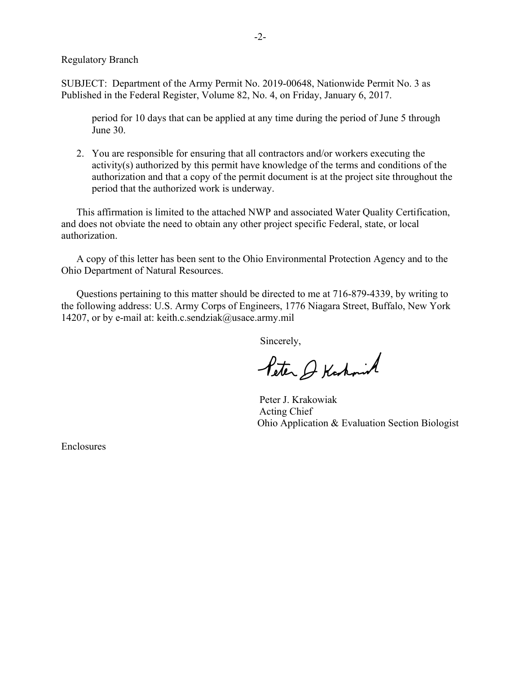Regulatory Branch

SUBJECT: Department of the Army Permit No. 2019-00648, Nationwide Permit No. 3 as Published in the Federal Register, Volume 82, No. 4, on Friday, January 6, 2017.

period for 10 days that can be applied at any time during the period of June 5 through June 30.

2. You are responsible for ensuring that all contractors and/or workers executing the activity(s) authorized by this permit have knowledge of the terms and conditions of the authorization and that a copy of the permit document is at the project site throughout the period that the authorized work is underway.

 This affirmation is limited to the attached NWP and associated Water Quality Certification, and does not obviate the need to obtain any other project specific Federal, state, or local authorization.

 A copy of this letter has been sent to the Ohio Environmental Protection Agency and to the Ohio Department of Natural Resources.

 Questions pertaining to this matter should be directed to me at 716-879-4339, by writing to the following address: U.S. Army Corps of Engineers, 1776 Niagara Street, Buffalo, New York 14207, or by e-mail at: keith.c.sendziak@usace.army.mil

Sincerely,

Peter & Kashminh

 Peter J. Krakowiak Acting Chief Ohio Application & Evaluation Section Biologist

Enclosures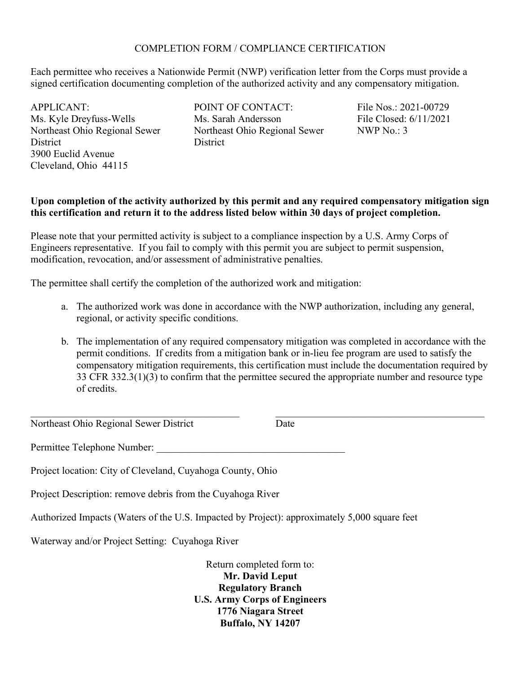## COMPLETION FORM / COMPLIANCE CERTIFICATION

Each permittee who receives a Nationwide Permit (NWP) verification letter from the Corps must provide a signed certification documenting completion of the authorized activity and any compensatory mitigation.

APPLICANT: Ms. Kyle Dreyfuss-Wells Northeast Ohio Regional Sewer **District** 3900 Euclid Avenue Cleveland, Ohio 44115

POINT OF CONTACT: Ms. Sarah Andersson Northeast Ohio Regional Sewer **District** 

File Nos.: 2021-00729 File Closed: 6/11/2021 NWP No.: 3

## Upon completion of the activity authorized by this permit and any required compensatory mitigation sign this certification and return it to the address listed below within 30 days of project completion.

Please note that your permitted activity is subject to a compliance inspection by a U.S. Army Corps of Engineers representative. If you fail to comply with this permit you are subject to permit suspension, modification, revocation, and/or assessment of administrative penalties.

The permittee shall certify the completion of the authorized work and mitigation:

- a. The authorized work was done in accordance with the NWP authorization, including any general, regional, or activity specific conditions.
- b. The implementation of any required compensatory mitigation was completed in accordance with the permit conditions. If credits from a mitigation bank or in-lieu fee program are used to satisfy the compensatory mitigation requirements, this certification must include the documentation required by 33 CFR 332.3(1)(3) to confirm that the permittee secured the appropriate number and resource type of credits.

Northeast Ohio Regional Sewer District

Date

Permittee Telephone Number:

Project location: City of Cleveland, Cuyahoga County, Ohio

Project Description: remove debris from the Cuyahoga River

Authorized Impacts (Waters of the U.S. Impacted by Project): approximately 5,000 square feet

Waterway and/or Project Setting: Cuyahoga River

Return completed form to: Mr. David Leput Regulatory Branch U.S. Army Corps of Engineers 1776 Niagara Street Buffalo, NY 14207